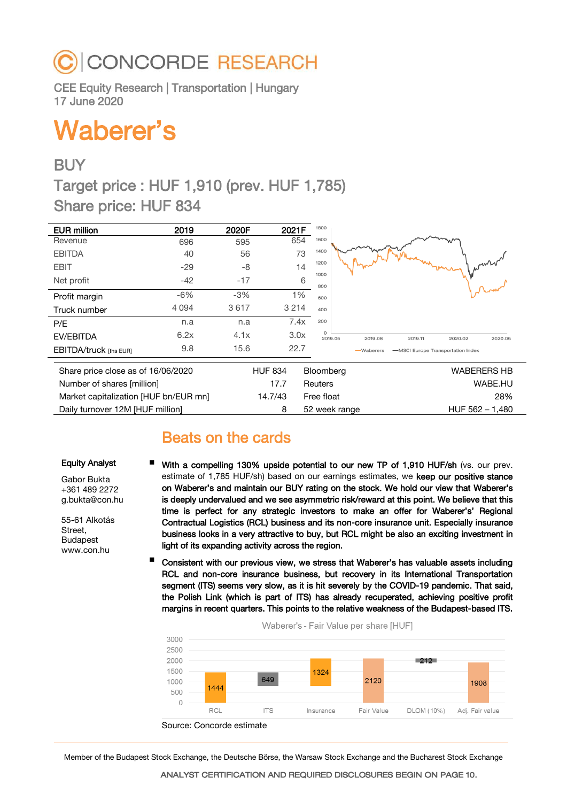# **CONCORDE RESEARCH**

CEE Equity Research | Transportation | Hungary 17 June 2020

# Waberer's

## **BUY**

Target price : HUF 1,910 (prev. HUF 1,785) Share price: HUF 834

| <b>EUR million</b>                    | 2019    | 2020F | 2021F          | 1800                                                            |
|---------------------------------------|---------|-------|----------------|-----------------------------------------------------------------|
| Revenue                               | 696     | 595   | 654            | 1600                                                            |
| <b>EBITDA</b>                         | 40      | 56    | 73             | 1400                                                            |
| <b>EBIT</b>                           | $-29$   | -8    |                | 1200<br>14<br>1000                                              |
| Net profit                            | $-42$   | $-17$ |                | 6<br>800                                                        |
| Profit margin                         | $-6%$   | $-3%$ | 1%             | 600                                                             |
| Truck number                          | 4 0 9 4 | 3617  | 3 2 1 4        | 400                                                             |
| P/E                                   | n.a     | n.a   | 7.4x           | 200                                                             |
| EV/EBITDA                             | 6.2x    | 4.1x  | 3.0x           | $\Omega$<br>2019.05<br>2019.08<br>2019.11<br>2020.02<br>2020.05 |
| <b>EBITDA/truck</b> [ths EUR]         | 9.8     | 15.6  | 22.7           | -MSCI Europe Transportation Index<br>-Waberers                  |
|                                       |         |       | <b>HUF 834</b> | <b>WABERERS HB</b><br>Bloomberg                                 |
| Share price close as of 16/06/2020    |         |       |                |                                                                 |
| Number of shares [million]            |         |       | 17.7           | WABE.HU<br><b>Reuters</b>                                       |
| Market capitalization [HUF bn/EUR mn] |         |       | 14.7/43        | Free float<br>28%                                               |
| Daily turnover 12M [HUF million]      |         |       | 8              | $HUF 562 - 1,480$<br>52 week range                              |

# Beats on the cards

#### Equity Analyst

Gabor Bukta +361 489 2272 g.bukta@con.hu

55-61 Alkotás Street, Budapest www.con.hu

- With a compelling 130% upside potential to our new TP of 1,910 HUF/sh (vs. our prev. estimate of 1,785 HUF/sh) based on our earnings estimates, we keep our positive stance on Waberer's and maintain our BUY rating on the stock. We hold our view that Waberer's is deeply undervalued and we see asymmetric risk/reward at this point. We believe that this time is perfect for any strategic investors to make an offer for Waberer's' Regional Contractual Logistics (RCL) business and its non-core insurance unit. Especially insurance business looks in a very attractive to buy, but RCL might be also an exciting investment in light of its expanding activity across the region.
- Consistent with our previous view, we stress that Waberer's has valuable assets including RCL and non-core insurance business, but recovery in its International Transportation segment (ITS) seems very slow, as it is hit severely by the COVID-19 pandemic. That said, the Polish Link (which is part of ITS) has already recuperated, achieving positive profit margins in recent quarters. This points to the relative weakness of the Budapest-based ITS.



Member of the Budapest Stock Exchange, the Deutsche Börse, the Warsaw Stock Exchange and the Bucharest Stock Exchange

ANALYST CERTIFICATION AND REQUIRED DISCLOSURES BEGIN ON PAGE 10.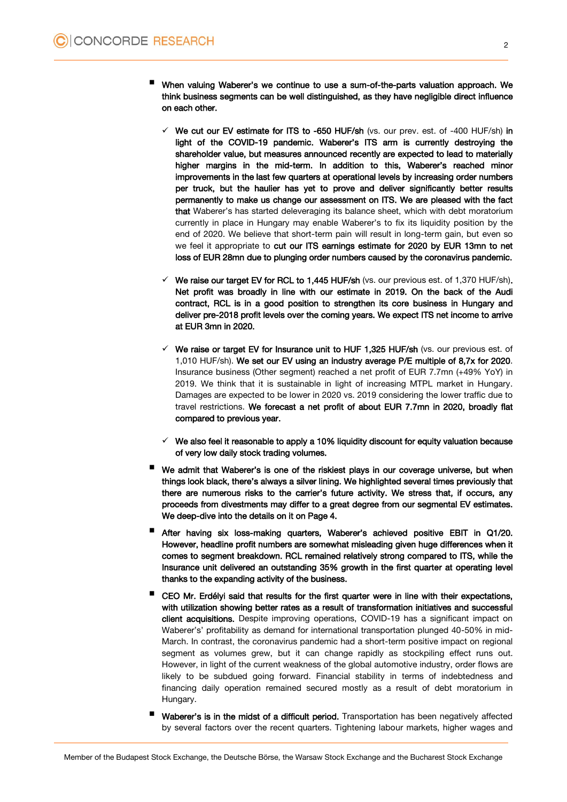- <sup>W</sup>hen valuing Waberer's we continue to use a sum-of-the-parts valuation approach. We think business segments can be well distinguished, as they have negligible direct influence on each other.
	- $\checkmark$  We cut our EV estimate for ITS to -650 HUF/sh (vs. our prev. est. of -400 HUF/sh) in light of the COVID-19 pandemic. Waberer's ITS arm is currently destroying the shareholder value, but measures announced recently are expected to lead to materially higher margins in the mid-term. In addition to this, Waberer's reached minor improvements in the last few quarters at operational levels by increasing order numbers per truck, but the haulier has yet to prove and deliver significantly better results permanently to make us change our assessment on ITS. We are pleased with the fact that Waberer's has started deleveraging its balance sheet, which with debt moratorium currently in place in Hungary may enable Waberer's to fix its liquidity position by the end of 2020. We believe that short-term pain will result in long-term gain, but even so we feel it appropriate to cut our ITS earnings estimate for 2020 by EUR 13mn to net loss of EUR 28mn due to plunging order numbers caused by the coronavirus pandemic.
	- $\checkmark$  We raise our target EV for RCL to 1,445 HUF/sh (vs. our previous est. of 1,370 HUF/sh). Net profit was broadly in line with our estimate in 2019. On the back of the Audi contract, RCL is in a good position to strengthen its core business in Hungary and deliver pre-2018 profit levels over the coming years. We expect ITS net income to arrive at EUR 3mn in 2020.
	- $\checkmark$  We raise or target EV for Insurance unit to HUF 1,325 HUF/sh (vs. our previous est. of 1,010 HUF/sh). We set our EV using an industry average P/E multiple of 8,7x for 2020. Insurance business (Other segment) reached a net profit of EUR 7.7mn (+49% YoY) in 2019. We think that it is sustainable in light of increasing MTPL market in Hungary. Damages are expected to be lower in 2020 vs. 2019 considering the lower traffic due to travel restrictions. We forecast a net profit of about EUR 7.7mn in 2020, broadly flat compared to previous year.
	- $\checkmark$  We also feel it reasonable to apply a 10% liquidity discount for equity valuation because of very low daily stock trading volumes.
- We admit that Waberer's is one of the riskiest plays in our coverage universe, but when things look black, there's always a silver lining. We highlighted several times previously that there are numerous risks to the carrier's future activity. We stress that, if occurs, any proceeds from divestments may differ to a great degree from our segmental EV estimates. We deep-dive into the details on it on Page 4.
- After having six loss-making quarters, Waberer's achieved positive EBIT in Q1/20. However, headline profit numbers are somewhat misleading given huge differences when it comes to segment breakdown. RCL remained relatively strong compared to ITS, while the Insurance unit delivered an outstanding 35% growth in the first quarter at operating level thanks to the expanding activity of the business.
- CEO Mr. Erdélyi said that results for the first quarter were in line with their expectations, with utilization showing better rates as a result of transformation initiatives and successful client acquisitions. Despite improving operations, COVID-19 has a significant impact on Waberer's' profitability as demand for international transportation plunged 40-50% in mid-March. In contrast, the coronavirus pandemic had a short-term positive impact on regional segment as volumes grew, but it can change rapidly as stockpiling effect runs out. However, in light of the current weakness of the global automotive industry, order flows are likely to be subdued going forward. Financial stability in terms of indebtedness and financing daily operation remained secured mostly as a result of debt moratorium in Hungary.
- Waberer's is in the midst of a difficult period. Transportation has been negatively affected by several factors over the recent quarters. Tightening labour markets, higher wages and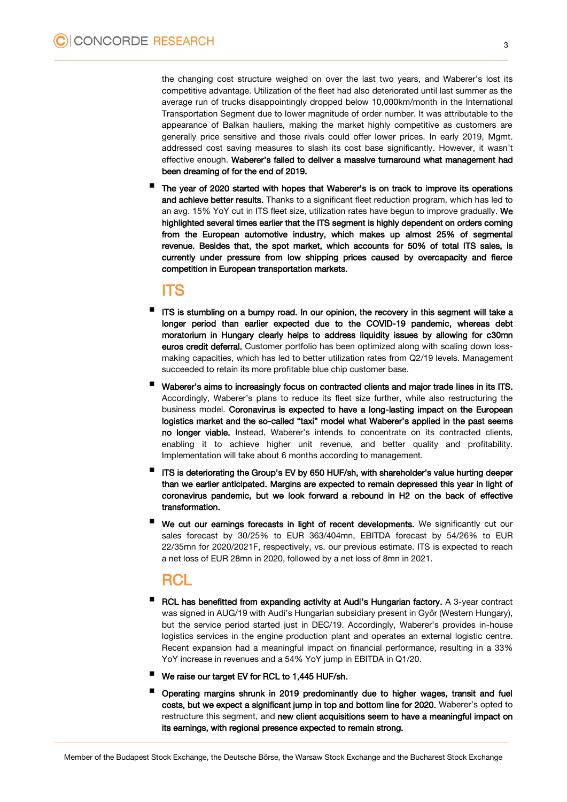the changing cost structure weighed on over the last two years, and Waberer's lost its competitive advantage. Utilization of the fleet had also deteriorated until last summer as the average run of trucks disappointingly dropped below 10,000km/month in the International Transportation Segment due to lower magnitude of order number. It was attributable to the appearance of Balkan hauliers, making the market highly competitive as customers are generally price sensitive and those rivals could offer lower prices. In early 2019, Mgmt. addressed cost saving measures to slash its cost base significantly. However, it wasn't effective enough. Waberer's failed to deliver a massive turnaround what management had been dreaming of for the end of 2019.

 The year of 2020 started with hopes that Waberer's is on track to improve its operations and achieve better results. Thanks to a significant fleet reduction program, which has led to an avg. 15% YoY cut in ITS fleet size, utilization rates have begun to improve gradually. We highlighted several times earlier that the ITS segment is highly dependent on orders coming from the European automotive industry, which makes up almost 25% of segmental revenue. Besides that, the spot market, which accounts for 50% of total ITS sales, is currently under pressure from low shipping prices caused by overcapacity and fierce competition in European transportation markets.

### ITS

- ITS is stumbling on a bumpy road. In our opinion, the recovery in this segment will take a longer period than earlier expected due to the COVID-19 pandemic, whereas debt moratorium in Hungary clearly helps to address liquidity issues by allowing for c30mn euros credit deferral. Customer portfolio has been optimized along with scaling down lossmaking capacities, which has led to better utilization rates from Q2/19 levels. Management succeeded to retain its more profitable blue chip customer base.
- Waberer's aims to increasingly focus on contracted clients and major trade lines in its ITS. Accordingly, Waberer's plans to reduce its fleet size further, while also restructuring the business model. Coronavirus is expected to have a long-lasting impact on the European logistics market and the so-called "taxi" model what Waberer's applied in the past seems no longer viable. Instead, Waberer's intends to concentrate on its contracted clients, enabling it to achieve higher unit revenue, and better quality and profitability. Implementation will take about 6 months according to management.
- ITS is deteriorating the Group's EV by 650 HUF/sh, with shareholder's value hurting deeper than we earlier anticipated. Margins are expected to remain depressed this year in light of coronavirus pandemic, but we look forward a rebound in H2 on the back of effective transformation.
- We cut our earnings forecasts in light of recent developments. We significantly cut our sales forecast by 30/25% to EUR 363/404mn, EBITDA forecast by 54/26% to EUR 22/35mn for 2020/2021F, respectively, vs. our previous estimate. ITS is expected to reach a net loss of EUR 28mn in 2020, followed by a net loss of 8mn in 2021.

### **RCL**

- RCL has benefitted from expanding activity at Audi's Hungarian factory. <sup>A</sup> 3-year contract was signed in AUG/19 with Audi's Hungarian subsidiary present in Győr (Western Hungary), but the service period started just in DEC/19. Accordingly, Waberer's provides in-house logistics services in the engine production plant and operates an external logistic centre. Recent expansion had a meaningful impact on financial performance, resulting in a 33% YoY increase in revenues and a 54% YoY jump in EBITDA in Q1/20.
- We raise our target EV for RCL to 1,445 HUF/sh.
- Operating margins shrunk in 2019 predominantly due to higher wages, transit and fuel costs, but we expect a significant jump in top and bottom line for 2020. Waberer's opted to restructure this segment, and new client acquisitions seem to have a meaningful impact on its earnings, with regional presence expected to remain strong.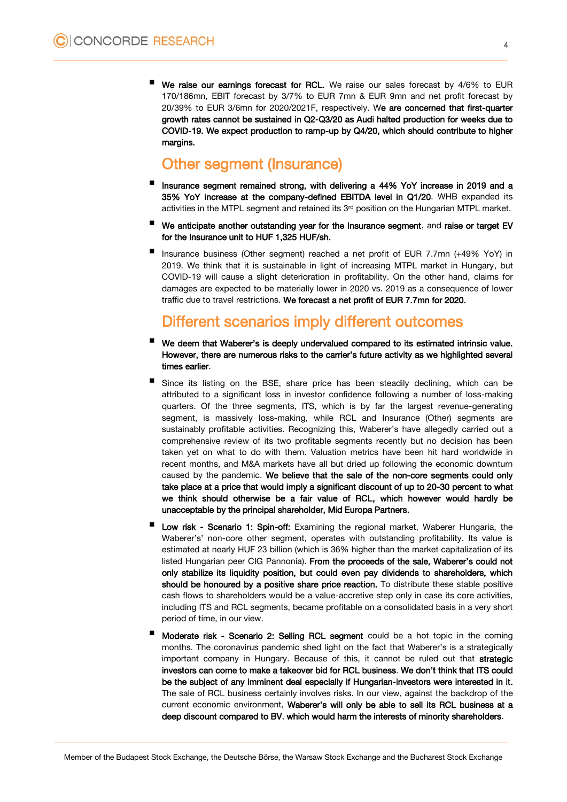We raise our earnings forecast for RCL. We raise our sales forecast by 4/6% to EUR 170/186mn, EBIT forecast by 3/7% to EUR 7mn & EUR 9mn and net profit forecast by 20/39% to EUR 3/6mn for 2020/2021F, respectively. We are concerned that first-quarter growth rates cannot be sustained in Q2-Q3/20 as Audi halted production for weeks due to COVID-19. We expect production to ramp-up by Q4/20, which should contribute to higher margins.

## Other segment (Insurance)

- Insurance segment remained strong, with delivering a 44% YoY increase in 2019 and a 35% YoY increase at the company-defined EBITDA level in Q1/20. WHB expanded its activities in the MTPL segment and retained its  $3<sup>rd</sup>$  position on the Hungarian MTPL market.
- We anticipate another outstanding year for the Insurance segment, and raise or target EV for the Insurance unit to HUF 1,325 HUF/sh.
- Insurance business (Other segment) reached a net profit of EUR 7.7mn (+49% YoY) in 2019. We think that it is sustainable in light of increasing MTPL market in Hungary, but COVID-19 will cause a slight deterioration in profitability. On the other hand, claims for damages are expected to be materially lower in 2020 vs. 2019 as a consequence of lower traffic due to travel restrictions. We forecast a net profit of EUR 7.7mn for 2020.

## Different scenarios imply different outcomes

- We deem that Waberer's is deeply undervalued compared to its estimated intrinsic value. However, there are numerous risks to the carrier's future activity as we highlighted several times earlier.
- Since its listing on the BSE, share price has been steadily declining, which can be attributed to a significant loss in investor confidence following a number of loss-making quarters. Of the three segments, ITS, which is by far the largest revenue-generating segment, is massively loss-making, while RCL and Insurance (Other) segments are sustainably profitable activities. Recognizing this, Waberer's have allegedly carried out a comprehensive review of its two profitable segments recently but no decision has been taken yet on what to do with them. Valuation metrics have been hit hard worldwide in recent months, and M&A markets have all but dried up following the economic downturn caused by the pandemic. We believe that the sale of the non-core segments could only take place at a price that would imply a significant discount of up to 20-30 percent to what we think should otherwise be a fair value of RCL, which however would hardly be unacceptable by the principal shareholder, Mid Europa Partners.
- Low risk Scenario 1: Spin-off: Examining the regional market, Waberer Hungaria, the Waberer's' non-core other segment, operates with outstanding profitability. Its value is estimated at nearly HUF 23 billion (which is 36% higher than the market capitalization of its listed Hungarian peer CIG Pannonia). From the proceeds of the sale, Waberer's could not only stabilize its liquidity position, but could even pay dividends to shareholders, which should be honoured by a positive share price reaction. To distribute these stable positive cash flows to shareholders would be a value-accretive step only in case its core activities, including ITS and RCL segments, became profitable on a consolidated basis in a very short period of time, in our view.
- Moderate risk Scenario 2: Selling RCL segment could be a hot topic in the coming months. The coronavirus pandemic shed light on the fact that Waberer's is a strategically important company in Hungary. Because of this, it cannot be ruled out that strategic investors can come to make a takeover bid for RCL business. We don't think that ITS could be the subject of any imminent deal especially if Hungarian-investors were interested in it. The sale of RCL business certainly involves risks. In our view, against the backdrop of the current economic environment, Waberer's will only be able to sell its RCL business at a deep discount compared to BV, which would harm the interests of minority shareholders.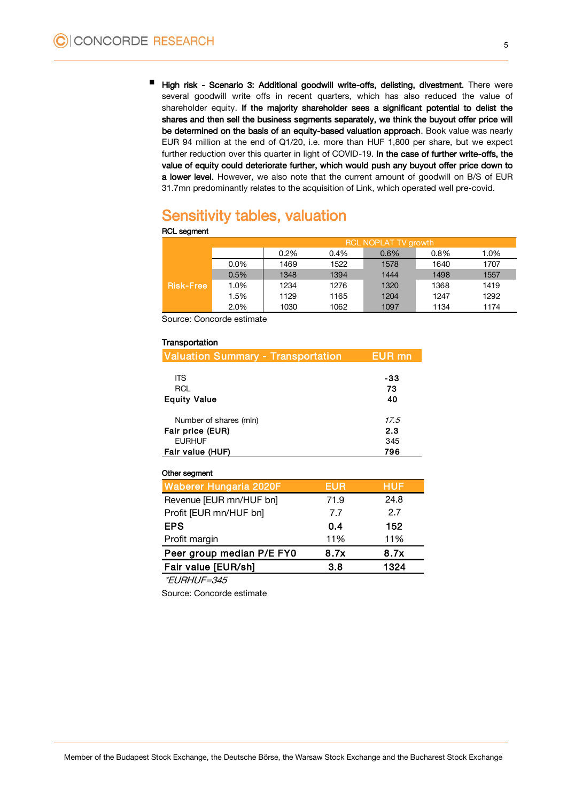High risk - Scenario 3: Additional goodwill write-offs, delisting, divestment. There were several goodwill write offs in recent quarters, which has also reduced the value of shareholder equity. If the majority shareholder sees a significant potential to delist the shares and then sell the business segments separately, we think the buyout offer price will be determined on the basis of an equity-based valuation approach. Book value was nearly EUR 94 million at the end of Q1/20, i.e. more than HUF 1,800 per share, but we expect further reduction over this quarter in light of COVID-19. In the case of further write-offs, the value of equity could deteriorate further, which would push any buyout offer price down to a lower level. However, we also note that the current amount of goodwill on B/S of EUR 31.7mn predominantly relates to the acquisition of Link, which operated well pre-covid.

# Sensitivity tables, valuation

|                  | <u>RCL NOPLAT TV growth</u> |         |         |      |         |      |  |  |
|------------------|-----------------------------|---------|---------|------|---------|------|--|--|
|                  |                             | $0.2\%$ | $0.4\%$ | 0.6% | $0.8\%$ | 1.0% |  |  |
|                  | $0.0\%$                     | 1469    | 1522    | 1578 | 1640    | 1707 |  |  |
|                  | 0.5%                        | 1348    | 1394    | 1444 | 1498    | 1557 |  |  |
| <b>Risk-Free</b> | 1.0%                        | 1234    | 1276    | 1320 | 1368    | 1419 |  |  |
|                  | 1.5%                        | 1129    | 1165    | 1204 | 1247    | 1292 |  |  |
|                  | 2.0%                        | 1030    | 1062    | 1097 | 1134    | 1174 |  |  |

Source: Concorde estimate

#### **Transportation**

RCL segment

| <b>Valuation Summary - Transportation</b> |            | <b>EUR</b> mn     |
|-------------------------------------------|------------|-------------------|
| <b>ITS</b>                                |            | -33               |
| <b>RCL</b>                                |            | 73                |
| <b>Equity Value</b>                       |            | 40                |
| Number of shares (mln)                    |            | 17.5              |
| Fair price (EUR)                          |            | 2.3               |
| <b>EURHUF</b>                             |            | 345               |
| Fair value (HUF)                          |            | 796               |
| Other segment                             |            |                   |
| Waberer Hungaria 2020F                    | <b>EUR</b> | <b>HUF</b>        |
| Revenue [EUR mn/HUF bn]                   | 71.9       | 24.8              |
| Profit [EUR mn/HUF bn]                    | 7.7        | 2.7               |
| ---                                       | - -        | $\cdot$ = $\cdot$ |

| EPS.                      | 0.4  | 152  |
|---------------------------|------|------|
| Profit margin             | 11%  | 11%  |
|                           | 8.7x | 8.7x |
| Peer group median P/E FY0 |      |      |
| Fair value [EUR/sh]       | 3.8  | 1324 |

\*EURHUF=345

Source: Concorde estimate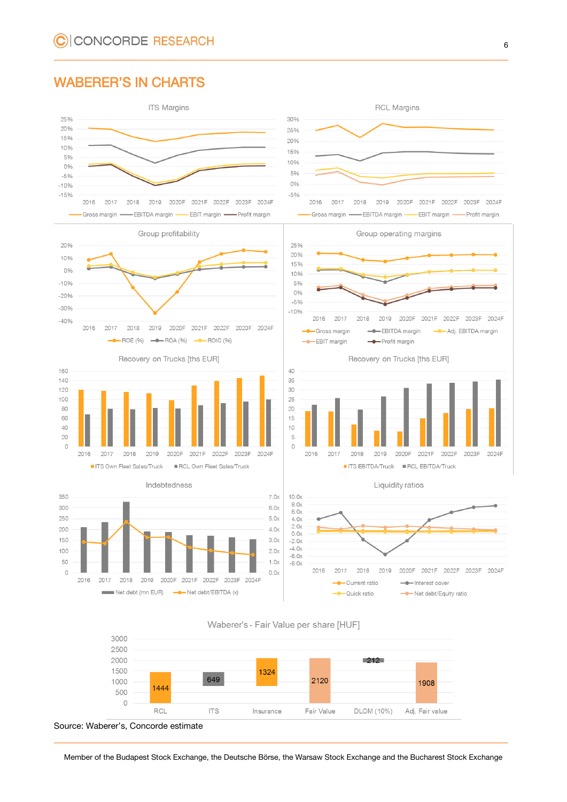### WABERER'S IN CHARTS













Group operating margins



Recovery on Trucks [ths EUR]



Liquidity ratios







Source: Waberer's, Concorde estimate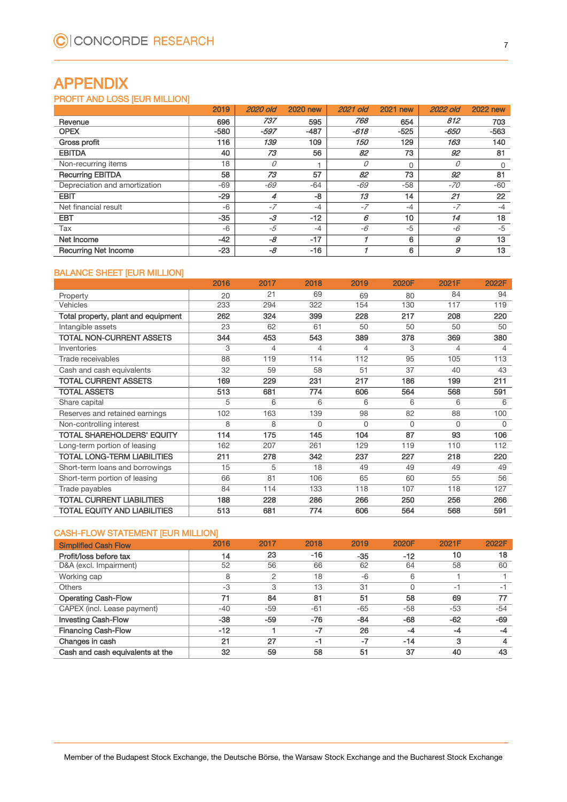# APPENDIX

#### PROFIT AND LOSS [EUR MILLION]

|                               | 2019   | 2020 old | <b>2020 new</b> | <b>2021 old</b>   | 2021<br>new | <b>2022 old</b> | <b>2022 new</b> |
|-------------------------------|--------|----------|-----------------|-------------------|-------------|-----------------|-----------------|
| Revenue                       | 696    | 737      | 595             | 768               | 654         | 812             | 703             |
| <b>OPEX</b>                   | $-580$ | $-597$   | $-487$          | $-618$            | $-525$      | -650            | $-563$          |
| Gross profit                  | 116    | 139      | 109             | <i><b>150</b></i> | 129         | 163             | 140             |
| <b>EBITDA</b>                 | 40     | 73       | 56              | 82                | 73          | 92              | 81              |
| Non-recurring items           | 18     | 0        |                 | 0                 | $\Omega$    | 0               | 0               |
| <b>Recurring EBITDA</b>       | 58     | 73       | 57              | 82                | 73          | 92              | 81              |
| Depreciation and amortization | $-69$  | -69      | -64             | $-69$             | $-58$       | -70             | $-60$           |
| <b>EBIT</b>                   | $-29$  |          | $-8$            | 13                | 14          | 21              | 22              |
| Net financial result          | $-6$   | $-7$     | $-4$            | $-7$              | $-4$        | $-7$            | $-4$            |
| <b>EBT</b>                    | $-35$  | $-3$     | $-12$           | 6                 | 10          | 14              | 18              |
| Tax                           | $-6$   | $-5$     | $-4$            | -6                | $-5$        | -6              | $-5$            |
| Net Income                    | $-42$  | $-8$     | $-17$           |                   | 6           | 9               | 13              |
| <b>Recurring Net Income</b>   | $-23$  | $-8$     | $-16$           |                   | 6           | 9               | 13              |

#### BALANCE SHEET [EUR MILLION]

|                                     | 2016 | 2017 | 2018     | 2019 | 2020F | 2021F    | 2022F    |
|-------------------------------------|------|------|----------|------|-------|----------|----------|
| Property                            | 20   | 21   | 69       | 69   | 80    | 84       | 94       |
| <b>Vehicles</b>                     | 233  | 294  | 322      | 154  | 130   | 117      | 119      |
| Total property, plant and equipment | 262  | 324  | 399      | 228  | 217   | 208      | 220      |
| Intangible assets                   | 23   | 62   | 61       | 50   | 50    | 50       | 50       |
| <b>TOTAL NON-CURRENT ASSETS</b>     | 344  | 453  | 543      | 389  | 378   | 369      | 380      |
| Inventories                         | 3    | 4    | 4        | 4    | 3     | 4        | 4        |
| Trade receivables                   | 88   | 119  | 114      | 112  | 95    | 105      | 113      |
| Cash and cash equivalents           | 32   | 59   | 58       | 51   | 37    | 40       | 43       |
| <b>TOTAL CURRENT ASSETS</b>         | 169  | 229  | 231      | 217  | 186   | 199      | 211      |
| <b>TOTAL ASSETS</b>                 | 513  | 681  | 774      | 606  | 564   | 568      | 591      |
| Share capital                       | 5    | 6    | 6        | 6    | 6     | 6        | 6        |
| Reserves and retained earnings      | 102  | 163  | 139      | 98   | 82    | 88       | 100      |
| Non-controlling interest            | 8    | 8    | $\Omega$ | 0    | 0     | $\Omega$ | $\Omega$ |
| TOTAL SHAREHOLDERS' EQUITY          | 114  | 175  | 145      | 104  | 87    | 93       | 106      |
| Long-term portion of leasing        | 162  | 207  | 261      | 129  | 119   | 110      | 112      |
| <b>TOTAL LONG-TERM LIABILITIES</b>  | 211  | 278  | 342      | 237  | 227   | 218      | 220      |
| Short-term loans and borrowings     | 15   | 5    | 18       | 49   | 49    | 49       | 49       |
| Short-term portion of leasing       | 66   | 81   | 106      | 65   | 60    | 55       | 56       |
| Trade payables                      | 84   | 114  | 133      | 118  | 107   | 118      | 127      |
| <b>TOTAL CURRENT LIABILITIES</b>    | 188  | 228  | 286      | 266  | 250   | 256      | 266      |
| <b>TOTAL EQUITY AND LIABILITIES</b> | 513  | 681  | 774      | 606  | 564   | 568      | 591      |

#### CASH-FLOW STATEMENT [EUR MILLION]

| <b>Simplified Cash Flow</b>      | 2016  | 2017           | 2018  | 2019  | 2020F | 2021F | 2022F |
|----------------------------------|-------|----------------|-------|-------|-------|-------|-------|
| Profit/loss before tax           | 14    | 23             | $-16$ | $-35$ | $-12$ | 10    | 18    |
| D&A (excl. Impairment)           | 52    | 56             | 66    | 62    | 64    | 58    | 60    |
| Working cap                      | 8     | $\overline{2}$ | 18    | $-6$  | 6     |       |       |
| <b>Others</b>                    | -3    | 3              | 13    | 31    | 0     | $-1$  | -1    |
| <b>Operating Cash-Flow</b>       | 71    | 84             | 81    | 51    | 58    | 69    |       |
| CAPEX (incl. Lease payment)      | $-40$ | $-59$          | $-61$ | $-65$ | $-58$ | $-53$ | $-54$ |
| <b>Investing Cash-Flow</b>       | $-38$ | $-59$          | $-76$ | $-84$ | $-68$ | $-62$ | $-69$ |
| <b>Financing Cash-Flow</b>       | $-12$ |                | $-7$  | 26    | -4    | $-4$  | -4    |
| Changes in cash                  | 21    | 27             | -1    | $-7$  | $-14$ | 3     | 4     |
| Cash and cash equivalents at the | 32    | 59             | 58    | 51    | 37    | 40    | 43    |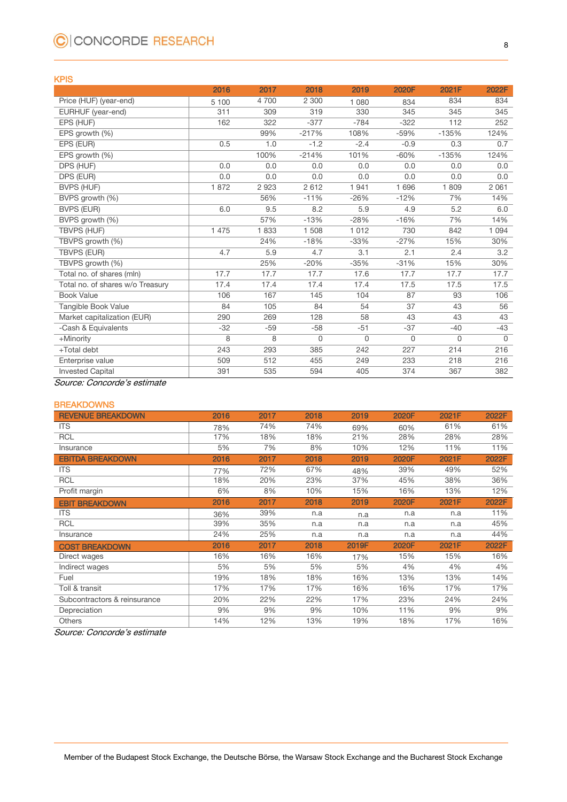# C CONCORDE RESEARCH

#### KPIS

|                                  | 2016    | 2017  | 2018     | 2019     | 2020F       | 2021F       | 2022F    |
|----------------------------------|---------|-------|----------|----------|-------------|-------------|----------|
| Price (HUF) (year-end)           | 5 100   | 4700  | 2 3 0 0  | 1 0 8 0  | 834         | 834         | 834      |
| EURHUF (year-end)                | 311     | 309   | 319      | 330      | 345         | 345         | 345      |
| EPS (HUF)                        | 162     | 322   | $-377$   | $-784$   | $-322$      | 112         | 252      |
| EPS growth (%)                   |         | 99%   | $-217%$  | 108%     | $-59%$      | $-135%$     | 124%     |
| EPS (EUR)                        | 0.5     | 1.0   | $-1.2$   | $-2.4$   | $-0.9$      | 0.3         | 0.7      |
| EPS growth (%)                   |         | 100%  | $-214%$  | 101%     | $-60%$      | $-135%$     | 124%     |
| DPS (HUF)                        | 0.0     | 0.0   | 0.0      | 0.0      | 0.0         | 0.0         | 0.0      |
| DPS (EUR)                        | 0.0     | 0.0   | 0.0      | 0.0      | 0.0         | 0.0         | 0.0      |
| <b>BVPS (HUF)</b>                | 1872    | 2923  | 2612     | 1941     | 1 6 9 6     | 1809        | 2 0 6 1  |
| BVPS growth (%)                  |         | 56%   | $-11%$   | $-26%$   | $-12%$      | 7%          | 14%      |
| <b>BVPS (EUR)</b>                | 6.0     | 9.5   | 8.2      | 5.9      | 4.9         | 5.2         | 6.0      |
| BVPS growth (%)                  |         | 57%   | $-13%$   | $-28%$   | $-16%$      | 7%          | 14%      |
| TBVPS (HUF)                      | 1 4 7 5 | 1833  | 1508     | 1 0 1 2  | 730         | 842         | 1 0 9 4  |
| TBVPS growth (%)                 |         | 24%   | $-18%$   | $-33%$   | $-27%$      | 15%         | 30%      |
| <b>TBVPS (EUR)</b>               | 4.7     | 5.9   | 4.7      | 3.1      | 2.1         | 2.4         | 3.2      |
| TBVPS growth (%)                 |         | 25%   | $-20%$   | $-35%$   | $-31%$      | 15%         | 30%      |
| Total no. of shares (mln)        | 17.7    | 17.7  | 17.7     | 17.6     | 17.7        | 17.7        | 17.7     |
| Total no. of shares w/o Treasury | 17.4    | 17.4  | 17.4     | 17.4     | 17.5        | 17.5        | 17.5     |
| <b>Book Value</b>                | 106     | 167   | 145      | 104      | 87          | 93          | 106      |
| Tangible Book Value              | 84      | 105   | 84       | 54       | 37          | 43          | 56       |
| Market capitalization (EUR)      | 290     | 269   | 128      | 58       | 43          | 43          | 43       |
| -Cash & Equivalents              | $-32$   | $-59$ | $-58$    | $-51$    | $-37$       | $-40$       | $-43$    |
| +Minority                        | 8       | 8     | $\Omega$ | $\Omega$ | $\mathbf 0$ | $\mathbf 0$ | $\Omega$ |
| +Total debt                      | 243     | 293   | 385      | 242      | 227         | 214         | 216      |
| Enterprise value                 | 509     | 512   | 455      | 249      | 233         | 218         | 216      |
| <b>Invested Capital</b>          | 391     | 535   | 594      | 405      | 374         | 367         | 382      |

Source: Concorde's estimate

#### **BREAKDOWNS**

| <b>REVENUE BREAKDOWN</b>     | 2016 | 2017 | 2018 | 2019  | 2020F | 2021F | 2022F |
|------------------------------|------|------|------|-------|-------|-------|-------|
| <b>ITS</b>                   | 78%  | 74%  | 74%  | 69%   | 60%   | 61%   | 61%   |
| <b>RCL</b>                   | 17%  | 18%  | 18%  | 21%   | 28%   | 28%   | 28%   |
| Insurance                    | 5%   | 7%   | 8%   | 10%   | 12%   | 11%   | 11%   |
| <b>EBITDA BREAKDOWN</b>      | 2016 | 2017 | 2018 | 2019  | 2020F | 2021F | 2022F |
| <b>ITS</b>                   | 77%  | 72%  | 67%  | 48%   | 39%   | 49%   | 52%   |
| <b>RCL</b>                   | 18%  | 20%  | 23%  | 37%   | 45%   | 38%   | 36%   |
| Profit margin                | 6%   | 8%   | 10%  | 15%   | 16%   | 13%   | 12%   |
| <b>EBIT BREAKDOWN</b>        | 2016 | 2017 | 2018 | 2019  | 2020F | 2021F | 2022F |
| <b>ITS</b>                   | 36%  | 39%  | n.a  | n.a   | n.a   | n.a   | 11%   |
| <b>RCL</b>                   | 39%  | 35%  | n.a  | n.a   | n.a   | n.a   | 45%   |
| Insurance                    | 24%  | 25%  | n.a  | n.a   | n.a   | n.a   | 44%   |
| <b>COST BREAKDOWN</b>        | 2016 | 2017 | 2018 | 2019F | 2020F | 2021F | 2022F |
| Direct wages                 | 16%  | 16%  | 16%  | 17%   | 15%   | 15%   | 16%   |
| Indirect wages               | 5%   | 5%   | 5%   | 5%    | 4%    | 4%    | 4%    |
| Fuel                         | 19%  | 18%  | 18%  | 16%   | 13%   | 13%   | 14%   |
| Toll & transit               | 17%  | 17%  | 17%  | 16%   | 16%   | 17%   | 17%   |
| Subcontractors & reinsurance | 20%  | 22%  | 22%  | 17%   | 23%   | 24%   | 24%   |
| Depreciation                 | 9%   | 9%   | 9%   | 10%   | 11%   | 9%    | 9%    |
| <b>Others</b>                | 14%  | 12%  | 13%  | 19%   | 18%   | 17%   | 16%   |

Source: Concorde's estimate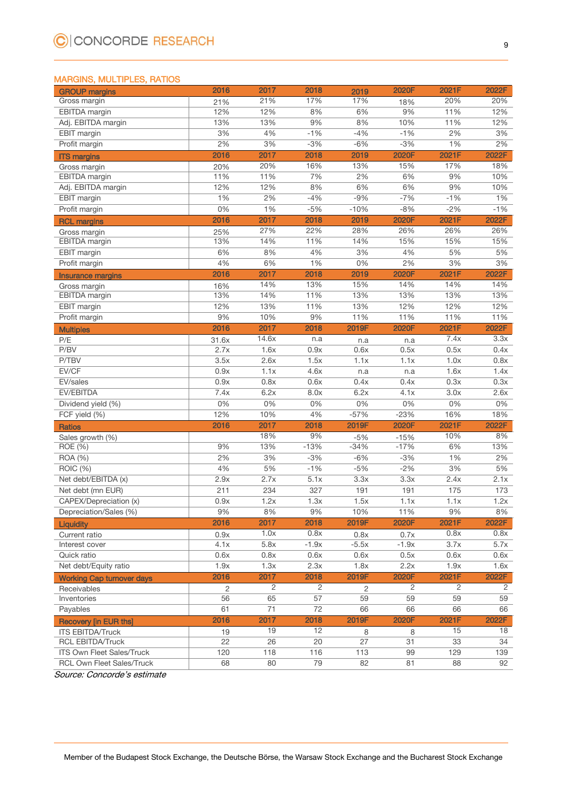#### MARGINS, MULTIPLES, RATIOS

| <b>GROUP margins</b>             | 2016            | 2017  | 2018            | 2019            | 2020F            | 2021F | 2022F          |
|----------------------------------|-----------------|-------|-----------------|-----------------|------------------|-------|----------------|
| Gross margin                     | 21%             | 21%   | 17%             | 17%             | 18%              | 20%   | 20%            |
| EBITDA margin                    | 12%             | 12%   | 8%              | 6%              | 9%               | 11%   | 12%            |
| Adj. EBITDA margin               | 13%             | 13%   | 9%              | 8%              | 10%              | 11%   | 12%            |
| <b>EBIT</b> margin               | 3%              | 4%    | $-1%$           | $-4%$           | $-1%$            | 2%    | 3%             |
| Profit margin                    | 2%              | 3%    | $-3%$           | $-6%$           | $-3%$            | 1%    | 2%             |
| <b>ITS margins</b>               | 2016            | 2017  | 2018            | 2019            | 2020F            | 2021F | 2022F          |
| Gross margin                     | 20%             | 20%   | 16%             | 13%             | 15%              | 17%   | 18%            |
| EBITDA margin                    | 11%             | 11%   | 7%              | 2%              | 6%               | 9%    | 10%            |
| Adj. EBITDA margin               | 12%             | 12%   | 8%              | 6%              | 6%               | 9%    | 10%            |
| EBIT margin                      | 1%              | 2%    | $-4%$           | $-9%$           | $-7%$            | $-1%$ | 1%             |
| Profit margin                    | 0%              | 1%    | $-5%$           | $-10%$          | $-8%$            | $-2%$ | $-1%$          |
| <b>RCL margins</b>               | 2016            | 2017  | 2018            | 2019            | 2020F            | 2021F | 2022F          |
| Gross margin                     | 25%             | 27%   | 22%             | 28%             | 26%              | 26%   | 26%            |
| EBITDA margin                    | 13%             | 14%   | 11%             | 14%             | 15%              | 15%   | 15%            |
| EBIT margin                      | 6%              | 8%    | 4%              | 3%              | 4%               | 5%    | 5%             |
| Profit margin                    | 4%              | 6%    | 1%              | 0%              | 2%               | 3%    | 3%             |
| <b>Insurance margins</b>         | 2016            | 2017  | 2018            | 2019            | 2020F            | 2021F | 2022F          |
| Gross margin                     | 16%             | 14%   | 13%             | 15%             | 14%              | 14%   | 14%            |
| EBITDA margin                    | 13%             | 14%   | 11%             | 13%             | 13%              | 13%   | 13%            |
| <b>EBIT</b> margin               | 12%             | 13%   | 11%             | 13%             | 12%              | 12%   | 12%            |
| Profit margin                    | 9%              | 10%   | 9%              | 11%             | 11%              | 11%   | 11%            |
|                                  | 2016            | 2017  | 2018            | 2019F           | 2020F            | 2021F | 2022F          |
| <b>Multiples</b>                 |                 | 14.6x | n.a             |                 |                  | 7.4x  | 3.3x           |
| P/E<br>P/BV                      | 31.6x<br>2.7x   | 1.6x  | 0.9x            | n.a<br>0.6x     | n.a<br>0.5x      | 0.5x  | 0.4x           |
| P/TBV                            | 3.5x            | 2.6x  | 1.5x            | 1.1x            | 1.1x             | 1.0x  | 0.8x           |
| EV/CF                            | 0.9x            | 1.1x  | 4.6x            | n.a             | n.a              | 1.6x  | 1.4x           |
| EV/sales                         | 0.9x            | 0.8x  | 0.6x            | 0.4x            | 0.4x             | 0.3x  | 0.3x           |
| EV/EBITDA                        | 7.4x            | 6.2x  | 8.0x            | 6.2x            | 4.1x             | 3.0x  | 2.6x           |
| Dividend yield (%)               | 0%              | 0%    | 0%              | 0%              | 0%               | $0\%$ | 0%             |
| FCF yield (%)                    | 12%             | 10%   | 4%              | $-57%$          | $-23%$           | 16%   | 18%            |
|                                  | 2016            | 2017  | 2018            | 2019F           | 2020F            | 2021F | 2022F          |
| <b>Ratios</b>                    |                 | 18%   | 9%              |                 |                  | 10%   | 8%             |
| Sales growth (%)                 | 9%              | 13%   | $-13%$          | $-5%$<br>$-34%$ | $-15%$<br>$-17%$ | 6%    | 13%            |
| ROE (%)<br>ROA (%)               | 2%              | 3%    | $-3%$           | $-6%$           | $-3%$            | 1%    | 2%             |
|                                  | 4%              |       | $-1%$           | $-5%$           | $-2%$            | 3%    | 5%             |
| ROIC (%)                         |                 | 5%    | 5.1x            | 3.3x            |                  |       |                |
| Net debt/EBITDA (x)              | 2.9x            | 2.7x  |                 |                 | 3.3x             | 2.4x  | 2.1x           |
| Net debt (mn EUR)                | 211             | 234   | 327             | 191             | 191              | 175   | 173            |
| CAPEX/Depreciation (x)           | 0.9x            | 1.2x  | 1.3x            | 1.5x            | 1.1x             | 1.1x  | 1.2x           |
| Depreciation/Sales (%)           | 9%              | 8%    | 9%              | 10%             | 11%              | 9%    | 8%             |
| Liquidity                        | 2016            | 2017  | 2018            | 2019F           | 2020F            | 2021F | 2022F          |
| Current ratio                    | 0.9x            | 1.0x  | 0.8x            | 0.8x            | 0.7x             | 0.8x  | 0.8x           |
| Interest cover                   | 4.1x            | 5.8x  | $-1.9x$         | $-5.5x$         | $-1.9x$          | 3.7x  | 5.7x           |
| Quick ratio                      | 0.6x            | 0.8x  | 0.6x            | 0.6x            | 0.5x             | 0.6x  | 0.6x           |
| Net debt/Equity ratio            | 1.9x            | 1.3x  | 2.3x            | 1.8x            | 2.2x             | 1.9x  | 1.6x           |
| <b>Working Cap turnover days</b> | 2016            | 2017  | 2018            | 2019F           | 2020F            | 2021F | 2022F          |
| Receivables                      | 2               | 2     | $\overline{2}$  | 2               | $\overline{2}$   | 2     | $\overline{2}$ |
| Inventories                      | 56              | 65    | $\overline{57}$ | 59              | 59               | 59    | 59             |
| Payables                         | 61              | 71    | 72              | 66              | 66               | 66    | 66             |
| <b>Recovery [in EUR ths]</b>     | 2016            | 2017  | 2018            | 2019F           | 2020F            | 2021F | 2022F          |
| <b>ITS EBITDA/Truck</b>          | 19              | 19    | 12              | 8               | 8                | 15    | 18             |
| <b>RCL EBITDA/Truck</b>          | $\overline{22}$ | 26    | 20              | $\overline{27}$ | 31               | 33    | 34             |
| ITS Own Fleet Sales/Truck        | 120             | 118   | 116             | 113             | 99               | 129   | 139            |
| RCL Own Fleet Sales/Truck        | 68              | 80    | 79              | 82              | 81               | 88    | 92             |

Source: Concorde's estimate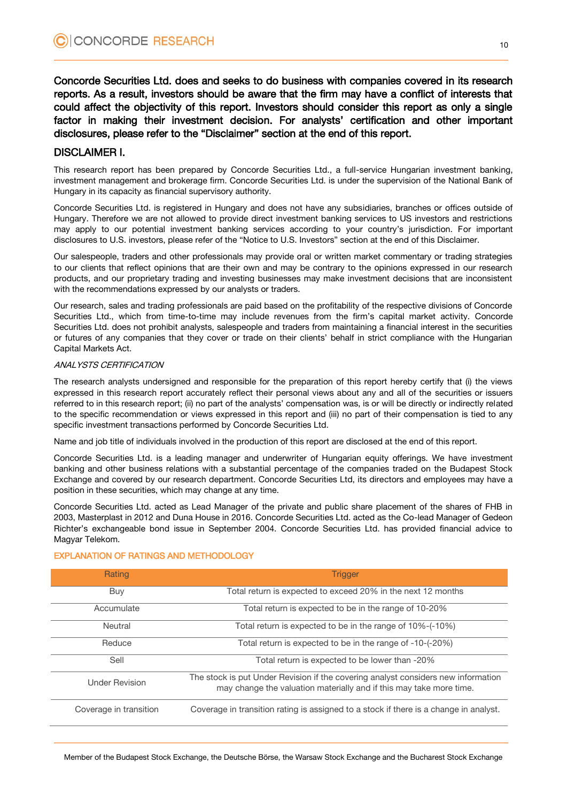Concorde Securities Ltd. does and seeks to do business with companies covered in its research reports. As a result, investors should be aware that the firm may have a conflict of interests that could affect the objectivity of this report. Investors should consider this report as only a single factor in making their investment decision. For analysts' certification and other important disclosures, please refer to the "Disclaimer" section at the end of this report.

#### DISCLAIMER I.

This research report has been prepared by Concorde Securities Ltd., a full-service Hungarian investment banking, investment management and brokerage firm. Concorde Securities Ltd. is under the supervision of the National Bank of Hungary in its capacity as financial supervisory authority.

Concorde Securities Ltd. is registered in Hungary and does not have any subsidiaries, branches or offices outside of Hungary. Therefore we are not allowed to provide direct investment banking services to US investors and restrictions may apply to our potential investment banking services according to your country's jurisdiction. For important disclosures to U.S. investors, please refer of the "Notice to U.S. Investors" section at the end of this Disclaimer.

Our salespeople, traders and other professionals may provide oral or written market commentary or trading strategies to our clients that reflect opinions that are their own and may be contrary to the opinions expressed in our research products, and our proprietary trading and investing businesses may make investment decisions that are inconsistent with the recommendations expressed by our analysts or traders.

Our research, sales and trading professionals are paid based on the profitability of the respective divisions of Concorde Securities Ltd., which from time-to-time may include revenues from the firm's capital market activity. Concorde Securities Ltd. does not prohibit analysts, salespeople and traders from maintaining a financial interest in the securities or futures of any companies that they cover or trade on their clients' behalf in strict compliance with the Hungarian Capital Markets Act.

#### ANALYSTS CERTIFICATION

The research analysts undersigned and responsible for the preparation of this report hereby certify that (i) the views expressed in this research report accurately reflect their personal views about any and all of the securities or issuers referred to in this research report; (ii) no part of the analysts' compensation was, is or will be directly or indirectly related to the specific recommendation or views expressed in this report and (iii) no part of their compensation is tied to any specific investment transactions performed by Concorde Securities Ltd.

Name and job title of individuals involved in the production of this report are disclosed at the end of this report.

Concorde Securities Ltd. is a leading manager and underwriter of Hungarian equity offerings. We have investment banking and other business relations with a substantial percentage of the companies traded on the Budapest Stock Exchange and covered by our research department. Concorde Securities Ltd, its directors and employees may have a position in these securities, which may change at any time.

Concorde Securities Ltd. acted as Lead Manager of the private and public share placement of the shares of FHB in 2003, Masterplast in 2012 and Duna House in 2016. Concorde Securities Ltd. acted as the Co-lead Manager of Gedeon Richter's exchangeable bond issue in September 2004. Concorde Securities Ltd. has provided financial advice to Magyar Telekom.

| Rating                 | <b>Trigger</b>                                                                                                                                           |
|------------------------|----------------------------------------------------------------------------------------------------------------------------------------------------------|
| Buy                    | Total return is expected to exceed 20% in the next 12 months                                                                                             |
| Accumulate             | Total return is expected to be in the range of 10-20%                                                                                                    |
| Neutral                | Total return is expected to be in the range of 10%-(-10%)                                                                                                |
| Reduce                 | Total return is expected to be in the range of -10-(-20%)                                                                                                |
| Sell                   | Total return is expected to be lower than -20%                                                                                                           |
| <b>Under Revision</b>  | The stock is put Under Revision if the covering analyst considers new information<br>may change the valuation materially and if this may take more time. |
| Coverage in transition | Coverage in transition rating is assigned to a stock if there is a change in analyst.                                                                    |

#### EXPLANATION OF RATINGS AND METHODOLOGY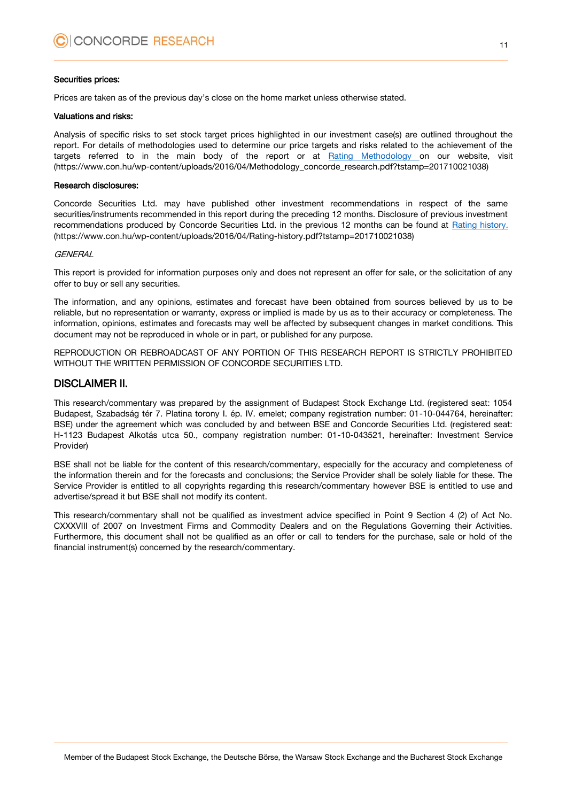#### Securities prices:

Prices are taken as of the previous day's close on the home market unless otherwise stated.

#### Valuations and risks:

Analysis of specific risks to set stock target prices highlighted in our investment case(s) are outlined throughout the report. For details of methodologies used to determine our price targets and risks related to the achievement of the targets referred to in the main body of the report or at [Rating Methodology](https://www.con.hu/wp-content/uploads/2016/04/Methodology_concorde_research.pdf?tstamp=201710021038) on our website, visit (https://www.con.hu/wp-content/uploads/2016/04/Methodology\_concorde\_research.pdf?tstamp=201710021038)

#### Research disclosures:

Concorde Securities Ltd. may have published other investment recommendations in respect of the same securities/instruments recommended in this report during the preceding 12 months. Disclosure of previous investment recommendations produced by Concorde Securities Ltd. in the previous 12 months can be found at [Rating history.](https://www.con.hu/wp-content/uploads/2016/04/Rating-history.pdf?tstamp=201710021038) (https://www.con.hu/wp-content/uploads/2016/04/Rating-history.pdf?tstamp=201710021038)

#### **GFNFRAI**

This report is provided for information purposes only and does not represent an offer for sale, or the solicitation of any offer to buy or sell any securities.

The information, and any opinions, estimates and forecast have been obtained from sources believed by us to be reliable, but no representation or warranty, express or implied is made by us as to their accuracy or completeness. The information, opinions, estimates and forecasts may well be affected by subsequent changes in market conditions. This document may not be reproduced in whole or in part, or published for any purpose.

REPRODUCTION OR REBROADCAST OF ANY PORTION OF THIS RESEARCH REPORT IS STRICTLY PROHIBITED WITHOUT THE WRITTEN PERMISSION OF CONCORDE SECURITIES LTD.

#### DISCLAIMER II.

This research/commentary was prepared by the assignment of Budapest Stock Exchange Ltd. (registered seat: 1054 Budapest, Szabadság tér 7. Platina torony I. ép. IV. emelet; company registration number: 01-10-044764, hereinafter: BSE) under the agreement which was concluded by and between BSE and Concorde Securities Ltd. (registered seat: H-1123 Budapest Alkotás utca 50., company registration number: 01-10-043521, hereinafter: Investment Service Provider)

BSE shall not be liable for the content of this research/commentary, especially for the accuracy and completeness of the information therein and for the forecasts and conclusions; the Service Provider shall be solely liable for these. The Service Provider is entitled to all copyrights regarding this research/commentary however BSE is entitled to use and advertise/spread it but BSE shall not modify its content.

This research/commentary shall not be qualified as investment advice specified in Point 9 Section 4 (2) of Act No. CXXXVIII of 2007 on Investment Firms and Commodity Dealers and on the Regulations Governing their Activities. Furthermore, this document shall not be qualified as an offer or call to tenders for the purchase, sale or hold of the financial instrument(s) concerned by the research/commentary.